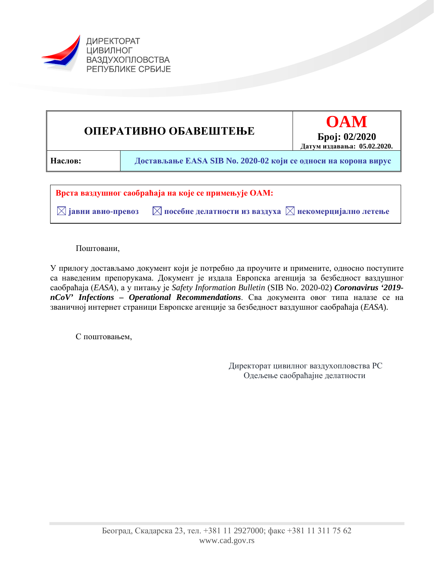



Поштовани,

У прилогу достављамо документ који је потребно да проучите и примените, односно поступите са наведеним препорукама. Документ је издала Европска агенција за безбедност ваздушног саобраћаја (*EASA*), а у питању је *Safety Information Bulletin* (SIB No. 2020-02) *Coronavirus '2019 nCoV' Infections – Operational Recommendations*. Сва документа овог типа налазе се на званичној интернет страници Европске агенције за безбедност ваздушног саобраћаја (*EASA*).

С поштовањем,

Директорат цивилног ваздухопловства РС Одељење саобраћајне делатности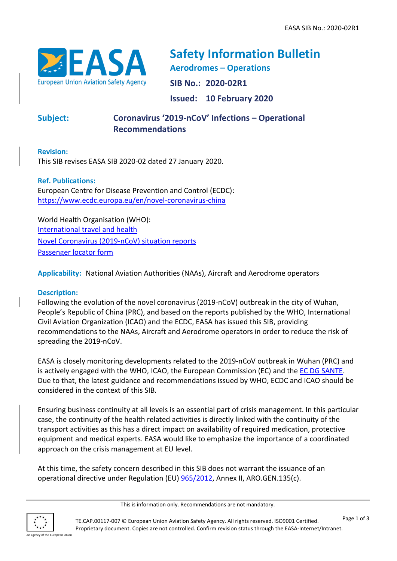

**Safety Information Bulletin Aerodromes – Operations SIB No.: 2020-02R1 Issued: 10 February 2020**

## **Subject: Coronavirus '2019-nCoV' Infections – Operational Recommendations**

**Revision:**

This SIB revises EASA SIB 2020-02 dated 27 January 2020.

**Ref. Publications:**  European Centre for Disease Prevention and Control (ECDC): <https://www.ecdc.europa.eu/en/novel-coronavirus-china>

World Health Organisation (WHO): [International travel and health](https://www.who.int/ith/2020-24-01-outbreak-of-Pneumonia-caused-by-new-coronavirus/en/) [Novel Coronavirus \(2019-nCoV\) situation reports](https://www.who.int/emergencies/diseases/novel-coronavirus-2019/situation-reports) [Passenger locator form](https://www.who.int/ihr/ports_airports/locator_card/en/)

**Applicability:** National Aviation Authorities (NAAs), Aircraft and Aerodrome operators

## **Description:**

Following the evolution of the novel coronavirus (2019-nCoV) outbreak in the city of Wuhan, People's Republic of China (PRC), and based on the reports published by the WHO, International Civil Aviation Organization (ICAO) and the ECDC, EASA has issued this SIB, providing recommendations to the NAAs, Aircraft and Aerodrome operators in order to reduce the risk of spreading the 2019-nCoV.

EASA is closely monitoring developments related to the 2019-nCoV outbreak in Wuhan (PRC) and is actively engaged with the WHO, ICAO, the European Commission (EC) and the [EC DG SANTE.](https://ec.europa.eu/info/departments/health-and-food-safety_en) Due to that, the latest guidance and recommendations issued by WHO, ECDC and ICAO should be considered in the context of this SIB.

Ensuring business continuity at all levels is an essential part of crisis management. In this particular case, the continuity of the health related activities is directly linked with the continuity of the transport activities as this has a direct impact on availability of required medication, protective equipment and medical experts. EASA would like to emphasize the importance of a coordinated approach on the crisis management at EU level.

At this time, the safety concern described in this SIB does not warrant the issuance of an operational directive under Regulation (EU) [965/2012,](http://eur-lex.europa.eu/LexUriServ/LexUriServ.do?uri=OJ:L:2012:296:0001:0148:EN:PDF) Annex II, ARO.GEN.135(c).

This is information only. Recommendations are not mandatory.

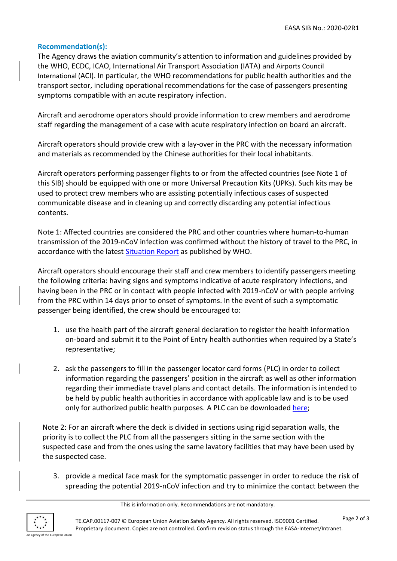## **Recommendation(s):**

The Agency draws the aviation community's attention to information and guidelines provided by the WHO, ECDC, ICAO, International Air Transport Association (IATA) and Airports Council International (ACI). In particular, the WHO recommendations for public health authorities and the transport sector, including operational recommendations for the case of passengers presenting symptoms compatible with an acute respiratory infection.

Aircraft and aerodrome operators should provide information to crew members and aerodrome staff regarding the management of a case with acute respiratory infection on board an aircraft.

Aircraft operators should provide crew with a lay-over in the PRC with the necessary information and materials as recommended by the Chinese authorities for their local inhabitants.

Aircraft operators performing passenger flights to or from the affected countries (see Note 1 of this SIB) should be equipped with one or more Universal Precaution Kits (UPKs). Such kits may be used to protect crew members who are assisting potentially infectious cases of suspected communicable disease and in cleaning up and correctly discarding any potential infectious contents.

Note 1: Affected countries are considered the PRC and other countries where human-to-human transmission of the 2019-nCoV infection was confirmed without the history of travel to the PRC, in accordance with the latest [Situation Report](https://www.who.int/emergencies/diseases/novel-coronavirus-2019/situation-reports/) as published by WHO.

Aircraft operators should encourage their staff and crew members to identify passengers meeting the following criteria: having signs and symptoms indicative of acute respiratory infections, and having been in the PRC or in contact with people infected with 2019-nCoV or with people arriving from the PRC within 14 days prior to onset of symptoms. In the event of such a symptomatic passenger being identified, the crew should be encouraged to:

- 1. use the health part of the aircraft general declaration to register the health information on-board and submit it to the Point of Entry health authorities when required by a State's representative;
- 2. ask the passengers to fill in the passenger locator card forms (PLC) in order to collect information regarding the passengers' position in the aircraft as well as other information regarding their immediate travel plans and contact details. The information is intended to be held by public health authorities in accordance with applicable law and is to be used only for authorized public health purposes. A PLC can be downloaded [here;](https://www.who.int/ihr/ports_airports/locator_card/en/)

Note 2: For an aircraft where the deck is divided in sections using rigid separation walls, the priority is to collect the PLC from all the passengers sitting in the same section with the suspected case and from the ones using the same lavatory facilities that may have been used by the suspected case.

3. provide a medical face mask for the symptomatic passenger in order to reduce the risk of spreading the potential 2019-nCoV infection and try to minimize the contact between the